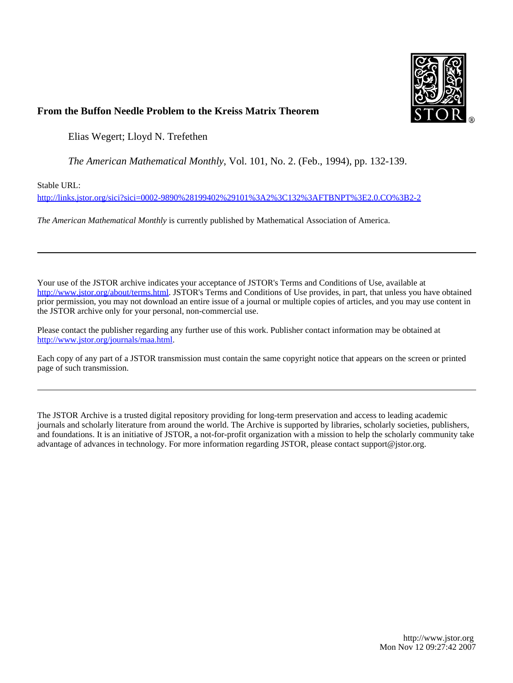

## **From the Buffon Needle Problem to the Kreiss Matrix Theorem**

Elias Wegert; Lloyd N. Trefethen

*The American Mathematical Monthly*, Vol. 101, No. 2. (Feb., 1994), pp. 132-139.

Stable URL:

<http://links.jstor.org/sici?sici=0002-9890%28199402%29101%3A2%3C132%3AFTBNPT%3E2.0.CO%3B2-2>

*The American Mathematical Monthly* is currently published by Mathematical Association of America.

Your use of the JSTOR archive indicates your acceptance of JSTOR's Terms and Conditions of Use, available at [http://www.jstor.org/about/terms.html.](http://www.jstor.org/about/terms.html) JSTOR's Terms and Conditions of Use provides, in part, that unless you have obtained prior permission, you may not download an entire issue of a journal or multiple copies of articles, and you may use content in the JSTOR archive only for your personal, non-commercial use.

Please contact the publisher regarding any further use of this work. Publisher contact information may be obtained at <http://www.jstor.org/journals/maa.html>.

Each copy of any part of a JSTOR transmission must contain the same copyright notice that appears on the screen or printed page of such transmission.

The JSTOR Archive is a trusted digital repository providing for long-term preservation and access to leading academic journals and scholarly literature from around the world. The Archive is supported by libraries, scholarly societies, publishers, and foundations. It is an initiative of JSTOR, a not-for-profit organization with a mission to help the scholarly community take advantage of advances in technology. For more information regarding JSTOR, please contact support@jstor.org.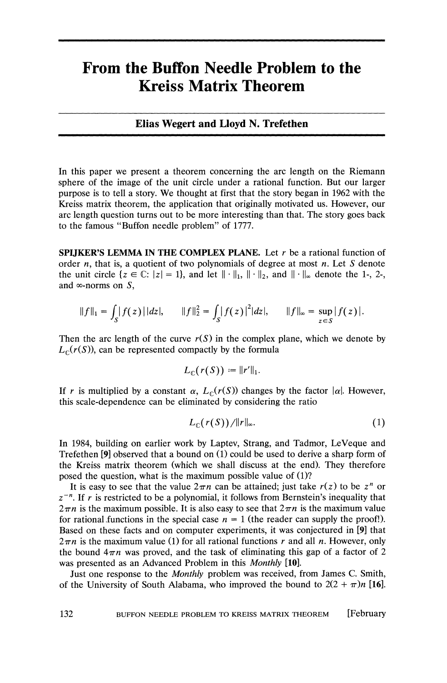# **From the Buffon Needle Problem to the Kreiss Matrix Theorem**

### **Elias Wegert and Lloyd N. Trefethen**

In this paper we present a theorem concerning the arc length on the Riemann sphere of the image of the unit circle under a rational function. But our larger purpose is to tell a story. We thought at first that the story began in 1962 with the Kreiss matrix theorem, the application that originally motivated us. However, our arc length question turns out to be more interesting than that. The story goes back to the famous "Buffon needle problem" of 1777.

**SPIJKER'S LEMMA IN THE COMPLEX PLANE.** Let r be a rational function of order *n*, that is, a quotient of two polynomials of degree at most *n*. Let S denote the unit circle  $\{z \in \mathbb{C}: |z|=1\}$ , and let  $\|\cdot\|_1$ ,  $\|\cdot\|_2$ , and  $\|\cdot\|_{\infty}$  denote the 1-, 2-, and  $\infty$ -norms on S,

$$
||f||_1 = \int_S |f(z)| |dz|, \qquad ||f||_2^2 = \int_S |f(z)|^2 |dz|, \qquad ||f||_{\infty} = \sup_{z \in S} |f(z)|.
$$

Then the arc length of the curve  $r(S)$  in the complex plane, which we denote by  $L_{\mathbb{C}}(r(S))$ , can be represented compactly by the formula

$$
L_{\mathbb{C}}(r(S)) := ||r'||_1.
$$

If r is multiplied by a constant  $\alpha$ ,  $L_{\mathbb{C}}(r(S))$  changes by the factor  $|\alpha|$ . However, this scale-dependence can be eliminated by considering the ratio

$$
L_{\mathbb{C}}(r(S))/\|r\|_{\infty}.\tag{1}
$$

In 1984, building on earlier work by Laptev, Strang, and Tadmor, LeVeque and Trefethen [9] observed that a bound on (1) could be used to derive a sharp form of the Kreiss matrix theorem (which we shall discuss at the end). They therefore posed the question, what is the maximum possible value of (I)?

It is easy to see that the value  $2\pi n$  can be attained; just take  $r(z)$  to be  $z^n$  or  $z^{-n}$ . If r is restricted to be a polynomial, it follows from Bernstein's inequality that  $2\pi n$  is the maximum possible. It is also easy to see that  $2\pi n$  is the maximum value for rational functions in the special case  $n = 1$  (the reader can supply the proof!). Based on these facts and on computer experiments, it was conjectured in [9] that  $2\pi n$  is the maximum value (1) for all rational functions r and all n. However, only the bound  $4\pi n$  was proved, and the task of eliminating this gap of a factor of 2 was presented as an Advanced Problem in this *Monthly* [10].

Just one response to the Monthly problem was received, from James C. Smith, of the University of South Alabama, who improved the bound to  $2(2 + \pi)n$  [16].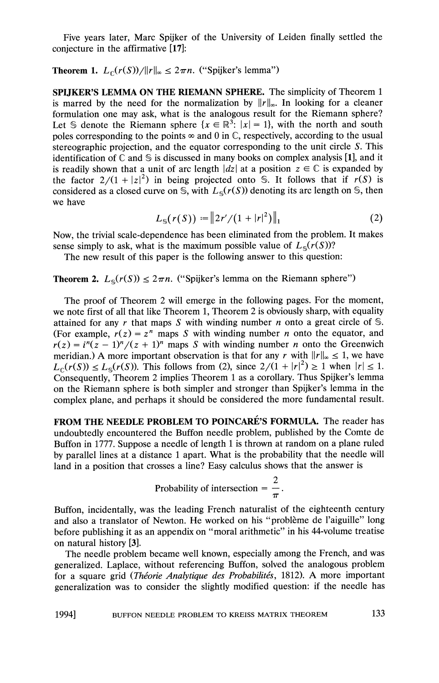Five years later, Marc Spijker of the University of Leiden finally settled the conjecture in the affirmative [17]:

**Theorem 1.**  $L_c(r(S))/||r||_{\infty} \leq 2\pi n$ . ("Spijker's lemma")

**SPIJKER'S LEMMA ON THE RIEMANN SPHERE.** The simplicity of Theorem 1 is marred by the need for the normalization by  $||r||_{\infty}$ . In looking for a cleaner formulation one may ask, what is the analogous result for the Riemann sphere? Let S denote the Riemann sphere  $\{x \in \mathbb{R}^3 : |x| = 1\}$ , with the north and south poles corresponding to the points  $\infty$  and 0 in  $\mathbb{C}$ , respectively, according to the usual stereographic projection, and the equator corresponding to the unit circle S. This identification of  $\mathbb C$  and  $\mathbb S$  is discussed in many books on complex analysis [1], and it is readily shown that a unit of arc length  $|dz|$  at a position  $z \in \mathbb{C}$  is expanded by the factor  $2/(1 + |z|^2)$  in being projected onto S. It follows that if  $r(S)$  is considered as a closed curve on S, with  $L_s(r(S))$  denoting its arc length on S, then we have

$$
L_{\rm s}(r(S)) := \|2r'/(1+|r|^2)\|_1\tag{2}
$$

Now, the trivial scale-dependence has been eliminated from the problem. It makes sense simply to ask, what is the maximum possible value of  $L_s(r(S))$ ?

The new result of this paper is the following answer to this question:

**Theorem 2.**  $L_{\mathcal{S}}(r(S)) \leq 2\pi n$ . ("Spijker's lemma on the Riemann sphere")

The proof of Theorem 2 will emerge in the following pages. For the moment, we note first of all that like Theorem 1, Theorem 2 is obviously sharp, with equality attained for any r that maps S with winding number  $n$  onto a great circle of S. (For example,  $r(z) = z^n$  maps S with winding number *n* onto the equator, and  $r(z) = i^{n}(z - 1)^{n}/(z + 1)^{n}$  maps S with winding number n onto the Greenwich meridian.) A more important observation is that for any r with  $||r||_{\infty} \leq 1$ , we have  $L_{\mathfrak{g}}(r(S)) \le L_{\mathfrak{g}}(r(S))$ . This follows from (2), since  $2/(1+|r|^2) \ge 1$  when  $|r| \le 1$ . Consequently, Theorem 2 implies Theorem 1as a corollary. Thus Spijker's lemma on the Riemann sphere is both simpler and stronger than Spijker's lemma in the complex plane, and perhaps it should be considered the more fundamental result.

FROM THE NEEDLE PROBLEM TO POINCARÉ'S FORMULA. The reader has undoubtedly encountered the Buffon needle problem, published by the Comte de Buffon in 1777. Suppose a needle of length 1 is thrown at random on a plane ruled by parallel lines at a distance 1 apart. What is the probability that the needle will land in a position that crosses a line? Easy calculus shows that the answer is

Probability of intersection = 
$$
\frac{2}{\pi}
$$
.

Buffon, incidentally, was the leading French naturalist of the eighteenth century and also a translator of Newton. He worked on his "problème de l'aiguille" long before publishing it as an appendix on "moral arithmetic" in his 44-volume treatise on natural history [3].

The needle problem became well known, especially among the French, and was generalized. Laplace, without referencing Buffon, solved the analogous problem for a square grid (Théorie Analytique des Probabilités, 1812). A more important generalization was to consider the slightly modified question: if the needle has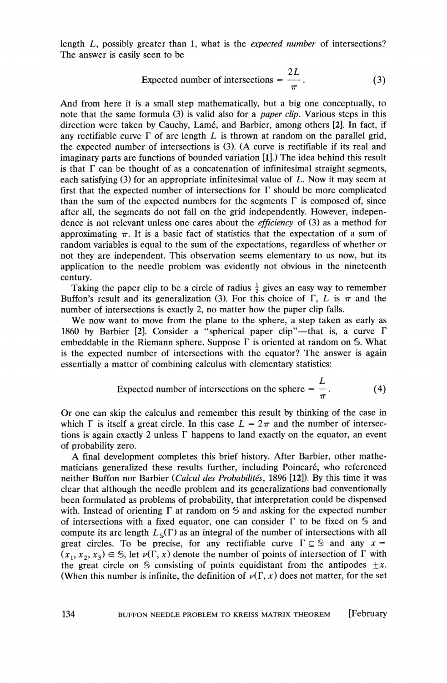length L, possibly greater than 1, what is the expected number of intersections? The answer is easily seen to be

Teater than 1, what is the *expected number* of intersections?

\nseen to be

\nExpected number of intersections = 
$$
\frac{2L}{\pi}
$$
.

\n(3)

And from here it is a small step mathematically, but a big one conceptually, to note that the same formula (3) is valid also for a paper clip. Various steps in this direction were taken by Cauchy, Lamé, and Barbier, among others [2]. In fact, if any rectifiable curve  $\Gamma$  of arc length  $L$  is thrown at random on the parallel grid, the expected number of intersections is (3). (A curve is rectifiable if its real and imaginary parts are functions of bounded variation [I].) The idea behind this result is that  $\Gamma$  can be thought of as a concatenation of infinitesimal straight segments, each satisfying (3) for an appropriate infinitesimal value of L. Now it may seem at first that the expected number of intersections for  $\Gamma$  should be more complicated than the sum of the expected numbers for the segments  $\Gamma$  is composed of, since after all, the segments do not fall on the grid independently. However, independence is not relevant unless one cares about the efficiency of (3) as a method for approximating  $\pi$ . It is a basic fact of statistics that the expectation of a sum of random variables is equal to the sum of the expectations, regardless of whether or not they are independent. This observation seems elementary to us now, but its application to the needle problem was evidently not obvious in the nineteenth century.

Taking the paper clip to be a circle of radius  $\frac{1}{2}$  gives an easy way to remember Buffon's result and its generalization (3). For this choice of  $\Gamma$ , L is  $\pi$  and the number of intersections is exactly 2, no matter how the paper clip falls.

We now want to move from the plane to the sphere, a step taken as early as 1860 by Barbier [2]. Consider a "spherical paper clip"—that is, a curve  $\Gamma$ embeddable in the Riemann sphere. Suppose  $\Gamma$  is oriented at random on S. What is the expected number of intersections with the equator? The answer is again essentially a matter of combining calculus with elementary statistics:

Expected number of intersections on the sphere = 
$$
\frac{L}{\pi}
$$
. (4)

Or one can skip the calculus and remember this result by thinking of the case in which  $\Gamma$  is itself a great circle. In this case  $L = 2\pi$  and the number of intersections is again exactly 2 unless  $\Gamma$  happens to land exactly on the equator, an event of probability zero.

A final development completes this brief history. After Barbier, other mathematicians generalized these results further, including Poincaré, who referenced neither Buffon nor Barbier (Calcul des Probabilités, 1896 [12]). By this time it was clear that although the needle problem and its generalizations had conventionally been formulated as problems of probability, that interpretation could be dispensed with. Instead of orienting  $\Gamma$  at random on  $\mathcal S$  and asking for the expected number of intersections with a fixed equator, one can consider  $\Gamma$  to be fixed on  $\mathcal S$  and compute its arc length  $L_{\leq}(\Gamma)$  as an integral of the number of intersections with all great circles. To be precise, for any rectifiable curve  $\Gamma \subseteq \mathbb{S}$  and any  $x =$  $(x_1, x_2, x_3) \in \mathbb{S}$ , let  $\nu(\Gamma, x)$  denote the number of points of intersection of  $\Gamma$  with the great circle on S consisting of points equidistant from the antipodes  $\pm x$ . (When this number is infinite, the definition of  $\nu(\Gamma, x)$  does not matter, for the set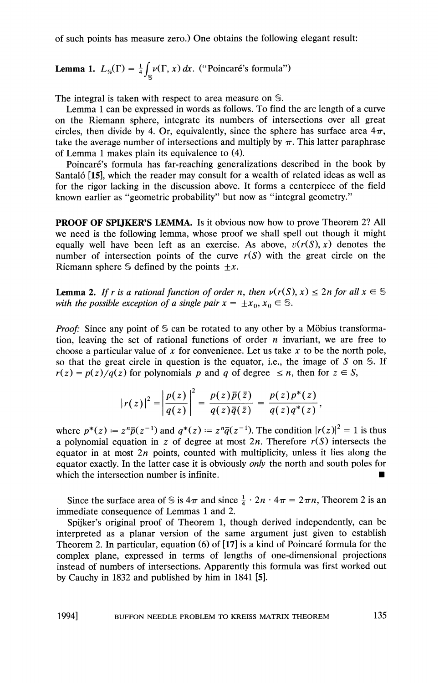of such points has measure zero.) One obtains the following elegant result:

**Lemma 1.** 
$$
L_{\mathbb{S}}(\Gamma) = \frac{1}{4} \int_{\mathbb{S}} \nu(\Gamma, x) dx
$$
. ("Poincaré's formula")

The integral is taken with respect to area measure on S.

Lemma 1 can be expressed in words as follows. To find the arc length of a curve on the Riemann sphere, integrate its numbers of intersections over all great circles, then divide by 4. Or, equivalently, since the sphere has surface area  $4\pi$ , take the average number of intersections and multiply by  $\pi$ . This latter paraphrase of Lemma 1makes plain its equivalence to (4).

Poincaré's formula has far-reaching generalizations described in the book by Santal6 [IS], which the reader may consult for a wealth of related ideas as well as for the rigor lacking in the discussion above. It forms a centerpiece of the field known earlier as "geometric probability" but now as "integral geometry."

**PROOF OF SPIJKER'S LEMMA.** Is it obvious now how to prove Theorem 2? All we need is the following lemma, whose proof we shall spell out though it might equally well have been left as an exercise. As above,  $v(r(S), x)$  denotes the number of intersection points of the curve  $r(S)$  with the great circle on the Riemann sphere  $\mathcal S$  defined by the points  $\pm x$ .

**Lemma 2.** If r is a rational function of order n, then  $\nu(r(S), x) \leq 2n$  for all  $x \in S$ with the possible exception of a single pair  $x = \pm x_0, x_0 \in \mathbb{S}$ .

*Proof:* Since any point of  $S$  can be rotated to any other by a Möbius transformation, leaving the set of rational functions of order  $n$  invariant, we are free to choose a particular value of  $x$  for convenience. Let us take  $x$  to be the north pole, so that the great circle in question is the equator, i.e., the image of S on  $\mathcal S$ . If  $r(z) = p(z)/q(z)$  for polynomials p and q of degree  $\leq n$ , then for  $z \in S$ ,

$$
|r(z)|^2 = \left|\frac{p(z)}{q(z)}\right|^2 = \frac{p(z)\overline{p}(\overline{z})}{q(z)\overline{q}(\overline{z})} = \frac{p(z)p^*(z)}{q(z)q^*(z)},
$$

where  $p^*(z) = z^n \overline{p}(z^{-1})$  and  $q^*(z) = z^n \overline{q}(z^{-1})$ . The condition  $|r(z)|^2 = 1$  is thus a polynomial equation in z of degree at most  $2n$ . Therefore  $r(S)$  intersects the equator in at most  $2n$  points, counted with multiplicity, unless it lies along the equator exactly. In the latter case it is obviously only the north and south poles for which the intersection number is infinite.  $\blacksquare$ 

Since the surface area of S is  $4\pi$  and since  $\frac{1}{4} \cdot 2n \cdot 4\pi = 2\pi n$ , Theorem 2 is an immediate consequence of Lemmas 1and 2.

Spijker's original proof of Theorem 1, though derived independently, can be interpreted as a planar version of the same argument just given to establish Theorem 2. In particular, equation (6) of  $[17]$  is a kind of Poincaré formula for the complex plane, expressed in terms of lengths of one-dimensional projections instead of numbers of intersections. Apparently this formula was first worked out by Cauchy in 1832 and published by him in 1841 [S].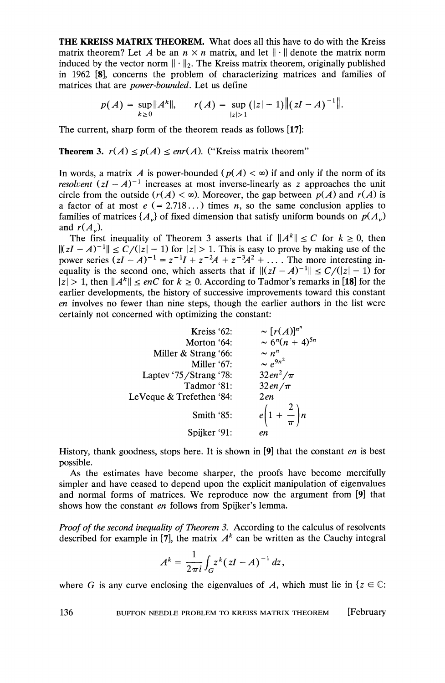**THE KREISS MATRIX THEOREM.** What does all this have to do with the Kreiss matrix theorem? Let *A* be an  $n \times n$  matrix, and let  $\|\cdot\|$  denote the matrix norm induced by the vector norm  $\|\cdot\|_2$ . The Kreiss matrix theorem, originally published in 1962 [a], concerns the problem of characterizing matrices and families of matrices that are *power-bounded.* Let us define

$$
p(A) = \sup_{k \geq 0} \|A^k\|, \qquad r(A) = \sup_{|z| > 1} (|z| - 1) \| (zI - A)^{-1} \|.
$$

The current, sharp form of the theorem reads as follows [17]:

#### **Theorem 3.**  $r(A) \leq p(A) \leq enr(A)$ . ("Kreiss matrix theorem"

In words, a matrix A is power-bounded  $(p(A) < \infty)$  if and only if the norm of its *resolvent*  $(zI - A)^{-1}$  increases at most inverse-linearly as *z* approaches the unit circle from the outside  $(r(A) < \infty)$ . Moreover, the gap between  $p(A)$  and  $r(A)$  is a factor of at most  $e (= 2.718...)$  times *n*, so the same conclusion applies to families of matrices  $\{A_{\nu}\}$  of fixed dimension that satisfy uniform bounds on  $p(A_{\nu})$ and  $r(A_n)$ .

The first inequality of Theorem 3 asserts that if  $||A^k|| \le C$  for  $k \ge 0$ , then  $||zI - A|^{-1}|| \le C/(|z| - 1)$  for  $|z| > 1$ . This is easy to prove by making use of the power series  $(zI - A)^{-1} = z^{-1}I + z^{-2}A + z^{-3}A^{2} + ...$  The more interesting inequality is the second one, which asserts that if  $||(zI - A)^{-1}|| \le C/(|z| - 1)$  for  $|z| > 1$ , then  $||A^k|| \le enC$  for  $k \ge 0$ . According to Tadmor's remarks in [18] for the earlier developments, the history of successive improvements toward this constant *en* involves no fewer than nine steps, though the earlier authors in the list were certainly not concerned with optimizing the constant:

| Kreiss $62$ :            |                                             |
|--------------------------|---------------------------------------------|
| Morton '64:              | $\sim [r(A)]^{n^n}$<br>$\sim 6^n(n+4)^{5n}$ |
| Miller & Strang '66:     | $\sim n^n$                                  |
| Miller '67:              | $\sim e^{9n^2}$                             |
| Laptev '75/Strang '78:   | $32en^2/\pi$                                |
| Tadmor '81:              | $32en/\pi$                                  |
| LeVeque & Trefethen '84: | 2en                                         |
| Smith '85:               | $e\left(1+\frac{2}{\pi}\right)n$            |
| Spijker '91:             | en                                          |

History, thank goodness, stops here. It is shown in [9] that the constant *en* is best possible.

As the estimates have become sharper, the proofs have become mercifully simpler and have ceased to depend upon the explicit manipulation of eigenvalues and normal forms of matrices. We reproduce now the argument from [9] that shows how the constant *en* follows from Spijker's lemma.

*Proof of the second inequality of Theorem 3.* According to the calculus of resolvents described for example in [7], the matrix  $A<sup>k</sup>$  can be written as the Cauchy integral

$$
A^k = \frac{1}{2\pi i} \int_G z^k (zI - A)^{-1} dz,
$$

where G is any curve enclosing the eigenvalues of A, which must lie in  $\{z \in \mathbb{C} :$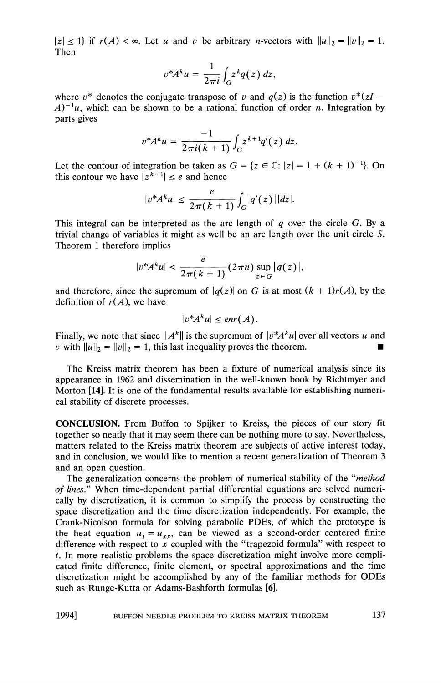$|z| \leq 1$  if  $r(A) < \infty$ . Let u and v be arbitrary n-vectors with  $||u||_2 = ||v||_2 = 1$ . Then

$$
v^*A^ku=\frac{1}{2\pi i}\int_Gz^kq(z)\,dz,
$$

where  $v^*$  denotes the conjugate transpose of v and  $q(z)$  is the function  $v^*(zI A^{-1}u$ , which can be shown to be a rational function of order n. Integration by parts gives

$$
v^*A^ku = \frac{-1}{2\pi i(k+1)}\int_G z^{k+1}q'(z)\,dz.
$$

Let the contour of integration be taken as  $G = \{z \in \mathbb{C}: |z| = 1 + (k + 1)^{-1}\}\)$ . On this contour we have  $|z^{k+1}| \leq e$  and hence

$$
|v^*A^ku|\leq \frac{e}{2\pi(k+1)}\int_G|q'(z)||dz|.
$$

This integral can be interpreted as the arc length of  $q$  over the circle  $G$ . By a trivial change of variables it might as well be an arc length over the unit circle S. Theorem 1 therefore implies

$$
|v^*A^k u| \leq \frac{e}{2\pi (k+1)} (2\pi n) \sup_{z \in G} |q(z)|,
$$

and therefore, since the supremum of  $|q(z)|$  on G is at most  $(k + 1)r(A)$ , by the definition of  $r(A)$ , we have

$$
|v^*A^ku|\leq enr(A).
$$

Finally, we note that since  $||A^k||$  is the supremum of  $|v^*A^k u|$  over all vectors u and v with  $||u||_2 = ||v||_2 = 1$ , this last inequality proves the theorem.

The Kreiss matrix theorem has been a fixture of numerical analysis since its appearance in 1962 and dissemination in the well-known book by Richtmyer and Morton [14]. It is one of the fundamental results available for establishing numerical stability of discrete processes.

**CONCLUSION.** From Buffon to Spijker to Kreiss, the pieces of our story fit together so neatly that it may seem there can be nothing more to say. Nevertheless, matters related to the Kreiss matrix theorem are subjects of active interest today, and in conclusion, we would like to mention a recent generalization of Theorem **3**  and an open question.

The generalization concerns the problem of numerical stability of the "method of lines." When time-dependent partial differential equations are solved numerically by discretization, it is common to simplify the process by constructing the space discretization and the time discretization independently. For example, the Crank-Nicolson formula for solving parabolic PDEs, of which the prototype is the heat equation  $u_t = u_{xx}$ , can be viewed as a second-order centered finite difference with respect to **x** coupled with the "trapezoid formula" with respect to *t.* In more realistic problems the space discretization might involve more complicated finite difference, finite element, or spectral approximations and the time discretization might be accomplished by any of the familiar methods for ODES such as Runge-Kutta or Adams-Bashforth formulas [6].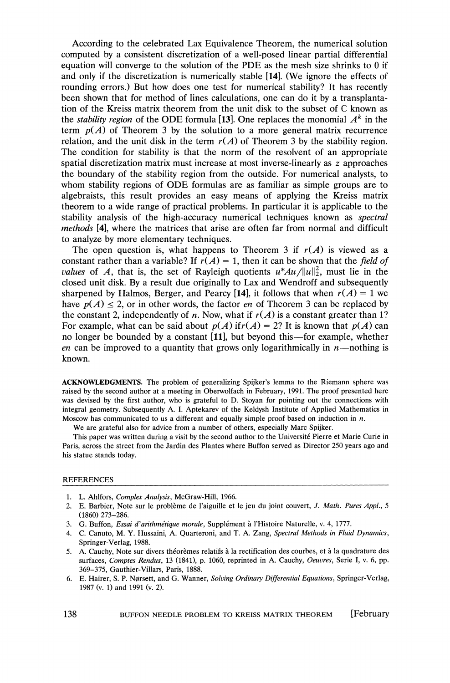According to the celebrated Lax Equivalence Theorem, the numerical solution computed by a consistent discretization of a well-posed linear partial differential equation will converge to the solution of the PDE as the mesh size shrinks to 0 if and only if the discretization is numerically stable [14]. (We ignore the effects of rounding errors.) But how does one test for numerical stability? It has recently been shown that for method of lines calculations, one can do it by a transplantation of the Kreiss matrix theorem from the unit disk to the subset of  $\mathbb C$  known as the *stability region* of the ODE formula [13]. One replaces the monomial  $A<sup>k</sup>$  in the term  $p(A)$  of Theorem 3 by the solution to a more general matrix recurrence relation, and the unit disk in the term  $r(A)$  of Theorem 3 by the stability region. The condition for stability is that the norm of the resolvent of an appropriate spatial discretization matrix must increase at most inverse-linearly as *z* approaches the boundary of the stability region from the outside. For numerical analysts, to whom stability regions of ODE formulas are as familiar as simple groups are to algebraists, this result provides an easy means of applying the Kreiss matrix theorem to a wide range of practical problems. In particular it is applicable to the stability analysis of the high-accuracy numerical techniques known as spectral methods [4], where the matrices that arise are often far from normal and difficult to analyze by more elementary techniques.

The open question is, what happens to Theorem 3 if  $r(A)$  is viewed as a constant rather than a variable? If  $r(A) = 1$ , then it can be shown that the field of *values* of A, that is, the set of Rayleigh quotients  $u^*Au/||u||_2^2$ , must lie in the closed unit disk. By a result due originally to Lax and Wendroff and subsequently sharpened by Halmos, Berger, and Pearcy [14], it follows that when  $r(A) = 1$  we have  $p(A) \le 2$ , or in other words, the factor *en* of Theorem 3 can be replaced by the constant 2, independently of *n*. Now, what if  $r(A)$  is a constant greater than 1? For example, what can be said about  $p(A)$  if  $r(A) = 2$ ? It is known that  $p(A)$  can no longer be bounded by a constant [ll], but beyond this-for example, whether en can be improved to a quantity that grows only logarithmically in  $n$ —nothing is known.

ACKNOWLEDGMENTS. The problem of generalizing Spijker's lemma to the Riemann sphere was raised by the second author at a meeting in Obenvolfach in February, 1991. The proof presented here was devised by the first author, who is grateful to D. Stoyan for pointing out the connections with integral geometry. Subsequently A. I. Aptekarev of the Keldysh Institute of Applied Mathematics in Moscow has communicated to us a different and equally simple proof based on induction in *n.* 

We are grateful also for advice from a number of others, especially Marc Spijker.

This paper was written during a visit by the second author to the Universite Pierre et Marie Curie in Paris, across the street from the Jardin des Plantes where Buffon served as Director *250* years ago and his statue stands today.

#### **REFERENCES**

- 1. L. Ahlfors, *Complex Analysis,* McGraw-Hill, 1966.
- 2. E. Barbier, Note sur le problème de l'aiguille et le jeu du joint couvert, *J. Math. Pures Appl.*, 5 (1860) 273-286.
- 3. G. Buffon, *Essai d'arithmétique morale*, Supplément à l'Histoire Naturelle, v. 4, 1777.
- 4. C. Canuto, M. Y. Hussaini, A. Quarteroni, and T. A. Zang, *Spectral Methods in Fluid Dynamics,*  Springer-Verlag, 1988.
- 5. A. Cauchy, Note sur divers théorèmes relatifs à la rectification des courbes, et à la quadrature des surfaces, *Comptes Rendus*, 13 (1841), p. 1060, reprinted in A. Cauchy, *Oeuvres*, Serie I, v. 6, pp. 369-375, Gauthier-Villars, Paris, 1888.
- 6. E. Hairer, S. P. Ngrsett, and G. Wanner, *Soluing Ordinary Differential Equations,* Springer-Verlag, 1987 (v. 1) and 1991 (v. 2).